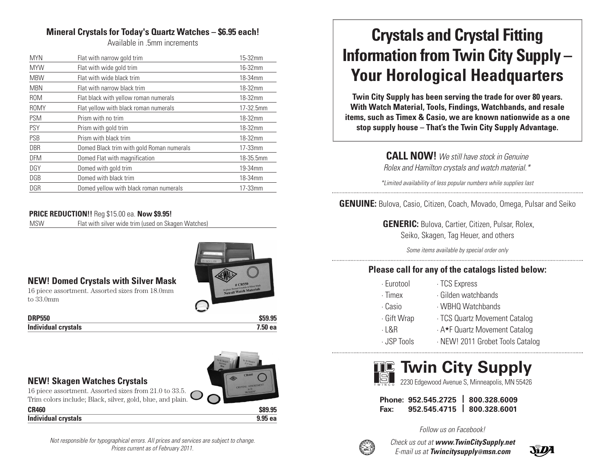# **Mineral Crystals for Today's Quartz Watches – \$6.95 each!**

Available in .5mm increments

| <b>MYN</b>  | Flat with narrow gold trim                | 15-32mm    |
|-------------|-------------------------------------------|------------|
| <b>MYW</b>  | Flat with wide gold trim                  | 16-32mm    |
| <b>MBW</b>  | Flat with wide black trim                 | 18-34mm    |
| <b>MBN</b>  | Flat with narrow black trim               | 18-32mm    |
| <b>ROM</b>  | Flat black with yellow roman numerals     | 18-32mm    |
| <b>ROMY</b> | Flat yellow with black roman numerals     | 17-32.5mm  |
| <b>PSM</b>  | Prism with no trim                        | 18-32mm    |
| <b>PSY</b>  | Prism with gold trim                      | 18-32mm    |
| PSB         | Prism with black trim                     | 18-32mm    |
| <b>DBR</b>  | Domed Black trim with gold Roman numerals | $17-33$ mm |
| <b>DFM</b>  | Domed Flat with magnification             | 18-35.5mm  |
| <b>DGY</b>  | Domed with gold trim                      | 19-34mm    |
| DGB         | Domed with black trim                     | 18-34mm    |
| <b>DGR</b>  | Domed yellow with black roman numerals    | 17-33mm    |

#### **PRICE REDUCTION!!** Reg \$15.00 ea. **Now \$9.95!**

MSW Flat with silver wide trim (used on Skagen Watches)



#### **NEW! Domed Crystals with Silver Mask**

16 piece assortment. Assorted sizes from 18.0mm to 33.0mm

#### **DRP550 \$59.95 Individual crystals 7.50 ea**

#### **NEW! Skagen Watches Crystals**

16 piece assortment. Assorted sizes from 21.0 to 33.5. Trim colors include; Black, silver, gold, blue, and plain.

**CR460 \$89.95 Individual crystals 9.95 ea**

*Not responsible for typographical errors. All prices and services are subject to change. Prices current as of February 2011.*

# **Crystals and Crystal Fitting Information from Twin City Supply – Your Horological Headquarters**

**Twin City Supply has been serving the trade for over 80 years. With Watch Material, Tools, Findings, Watchbands, and resale items, such as Timex & Casio, we are known nationwide as a one stop supply house – That's the Twin City Supply Advantage.**

> **CALL NOW!** *We still have stock in Genuine Rolex and Hamilton crystals and watch material.\**

*\*Limited availability of less popular numbers while supplies last*

**GENUINE:** Bulova, Casio, Citizen, Coach, Movado, Omega, Pulsar and Seiko

**GENERIC:** Bulova, Cartier, Citizen, Pulsar, Rolex, Seiko, Skagen, Tag Heuer, and others

*Some items available by special order only*

# **Please call for any of the catalogs listed below:**

| · Eurotool | · TCS Express |  |
|------------|---------------|--|
|            |               |  |

- 
- · Timex · Gilden watchbands
- · Casio · WBHQ Watchbands
- 
- · Gift Wrap · TCS Quartz Movement Catalog
- 
- · L&R · A★F Quartz Movement Catalog

· JSP Tools · NEW! 2011 Grobet Tools Catalog



T W I N C O 2230 Edgewood Avenue S, Minneapolis, MN 55426

**Phone: 952.545.2725 | 800.328.6009 Fax: 952.545.4715 | 800.328.6001**



*Check us out at www.TwinCitySupply.net E-mail us at Twincitysupply@msn.com*

*Follow us on Facebook!*

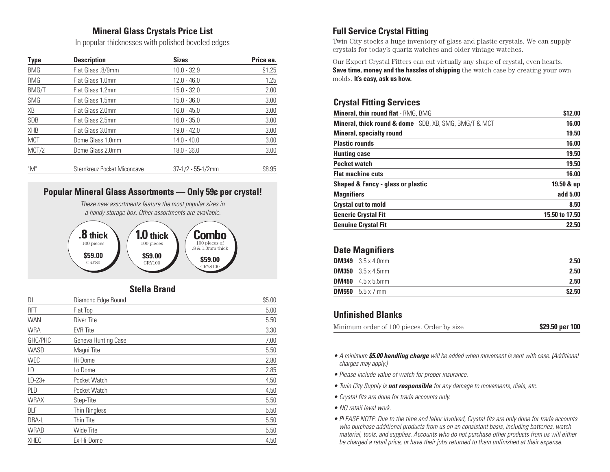# **Mineral Glass Crystals Price List**

In popular thicknesses with polished beveled edges

| <b>Type</b> | <b>Description</b>          | <b>Sizes</b>         | Price ea. |
|-------------|-----------------------------|----------------------|-----------|
| <b>BMG</b>  | Flat Glass .8/9mm           | $10.0 - 32.9$        | \$1.25    |
| RMG         | Flat Glass 1.0mm            | $12.0 - 46.0$        | 1.25      |
| BMG/T       | Flat Glass 1.2mm            | $15.0 - 32.0$        | 2.00      |
| <b>SMG</b>  | Flat Glass 1.5mm            | $15.0 - 36.0$        | 3.00      |
| XB          | Flat Glass 2.0mm            | $16.0 - 45.0$        | 3.00      |
| SDB         | Flat Glass 2.5mm            | $16.0 - 35.0$        | 3.00      |
| <b>XHB</b>  | Flat Glass 3.0mm            | $19.0 - 42.0$        | 3.00      |
| <b>MCT</b>  | Dome Glass 1.0mm            | $14.0 - 40.0$        | 3.00      |
| MCT/2       | Dome Glass 2.0mm            | $18.0 - 36.0$        | 3.00      |
| "M"         | Sternkreuz Pocket Miconcave | $37-1/2 - 55-1/2$ mm | \$8.95    |



#### **Stella Brand**

| DI          | Diamond Edge Round  | \$5.00 |
|-------------|---------------------|--------|
| <b>RFT</b>  | Flat Top            | 5.00   |
| <b>WAN</b>  | Diver Tite          | 5.50   |
| <b>WRA</b>  | <b>EVR</b> Tite     | 3.30   |
| GHC/PHC     | Geneva Hunting Case | 7.00   |
| WASD        | Magni Tite          | 5.50   |
| WEC         | Hi Dome             | 2.80   |
| LD          | Lo Dome             | 2.85   |
| $LD-23+$    | Pocket Watch        | 4.50   |
| PLD         | Pocket Watch        | 4.50   |
| <b>WRAX</b> | Step-Tite           | 5.50   |
| <b>BLF</b>  | Thin Ringless       | 5.50   |
| DRA-L       | Thin Tite           | 5.50   |
| <b>WRAB</b> | Wide Tite           | 5.50   |
| XHEC        | Ex-Hi-Dome          | 4.50   |

# **Full Service Crystal Fitting**

Twin City stocks a huge inventory of glass and plastic crystals. We can supply crystals for today's quartz watches and older vintage watches.

Our Expert Crystal Fitters can cut virtually any shape of crystal, even hearts. **Save time, money and the hassles of shipping** the watch case by creating your own molds. **It's easy, ask us how.**

#### **Crystal Fitting Services**

| <b>Mineral, thin round flat - RMG, BMG</b>              | \$12.00        |
|---------------------------------------------------------|----------------|
| Mineral, thick round & dome - SDB, XB, SMG, BMG/T & MCT | 16.00          |
| <b>Mineral, specialty round</b>                         | 19.50          |
| <b>Plastic rounds</b>                                   | 16.00          |
| <b>Hunting case</b>                                     | 19.50          |
| <b>Pocket watch</b>                                     | 19.50          |
| <b>Flat machine cuts</b>                                | 16.00          |
| <b>Shaped &amp; Fancy - glass or plastic</b>            | 19.50 & up     |
| <b>Magnifiers</b>                                       | add 5.00       |
| <b>Crystal cut to mold</b>                              | 8.50           |
| <b>Generic Crystal Fit</b>                              | 15.50 to 17.50 |
| <b>Genuine Crystal Fit</b>                              | 22.50          |

#### **Date Magnifiers**

| <b>DM349</b> $3.5 \times 4.0$ mm | 2.50   |
|----------------------------------|--------|
| <b>DM350</b> $3.5 \times 4.5$ mm | 2.50   |
| <b>DM450</b> $4.5 \times 5.5$ mm | 2.50   |
| <b>DM550</b> $5.5 \times 7$ mm   | \$2.50 |

#### **Unfinished Blanks**

| Minimum order of 100 pieces. Order by size |  | \$29.50 per 100 |  |
|--------------------------------------------|--|-----------------|--|
|--------------------------------------------|--|-----------------|--|

- *A minimum \$5.00 handling charge will be added when movement is sent with case. (Additional charges may apply.)*
- *Please include value of watch for proper insurance.*
- *Twin City Supply is not responsible for any damage to movements, dials, etc.*
- *Crystal fits are done for trade accounts only.*
- *NO retail level work.*
- *PLEASE NOTE: Due to the time and labor involved, Crystal fits are only done for trade accounts who purchase additional products from us on an consistant basis, including batteries, watch material, tools, and supplies. Accounts who do not purchase other products from us will either be charged a retail price, or have their jobs returned to them unfinished at their expense.*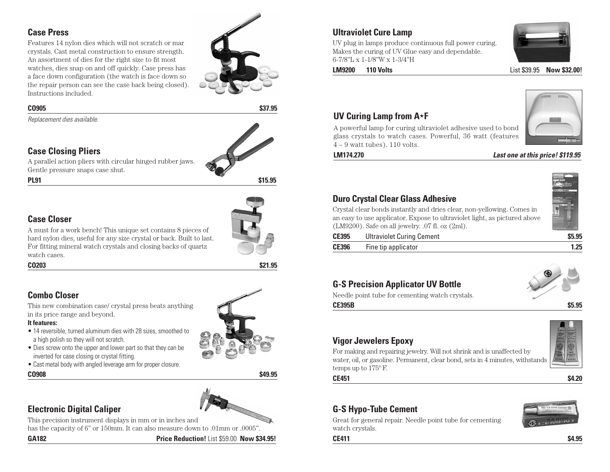#### **Case Press**

Features 14 nylon dies which will not scratch or mar crystals. Cast metal construction to ensure strength. An assortment of dies for the right size to fit most watches, dies snap on and off quickly. Case press has a face down configuration (the watch is face down so the repair person can see the case back being closed). Instructions included.



#### **CO905 \$37.95**

*Replacement dies available.*

#### **Case Closing Pliers**

A parallel action pliers with circular hinged rubber jaws. Gentle pressure snaps case shut.



# **Case Closer**



A must for a work bench! This unique set contains 8 pieces of hard nylon dies, useful for any size crystal or back. Built to last. For fitting mineral watch crystals and closing backs of quartz watch cases.

**CO203 \$21.95**

# **Combo Closer**

This new combination case/ crystal press beats anything in its price range and beyond.

#### **It features:**

- 14 reversible, turned aluminum dies with 28 sizes, smoothed to a high polish so they will not scratch.
- Dies screw onto the upper and lower part so that they can be inverted for case closing or crystal fitting.
- Cast metal body with angled leverage arm for proper closure.



# **Electronic Digital Caliper**

This precision instrument displays in mm or in inches and

has the capacity of 6" or 150mm. It can also measure down to .01mm or .0005".

**GA182 Price Reduction!** List \$59.00 **Now \$34.95!**

#### **Ultraviolet Cure Lamp**

UV plug in lamps produce continuous full power curing. Makes the curing of UV Glue easy and dependable. 6-7/8"L x 1-1/8"W x 1-3/4"H



**LM9200 110 Volts List \$39.95 <b>Now \$32.00!** 

#### **UV Curing Lamp from A**★**F**

A powerful lamp for curing ultraviolet adhesive used to bond glass crystals to watch cases. Powerful, 36 watt (features  $4 - 9$  watt tubes). 110 volts.



#### **LM174.270** *Last one at this price! \$119.95*

#### **Duro Crystal Clear Glass Adhesive**

Crystal clear bonds instantly and dries clear, non-yellowing. Comes in an easy to use applicator. Expose to ultraviolet light, as pictured above (LM9200). Safe on all jewelry. .07 fl. oz (2ml).

| <b>CE395</b> | <b>Ultraviolet Curing Cement</b> | \$5.95 |
|--------------|----------------------------------|--------|
| <b>CE396</b> | Fine tip applicator              | 1.25   |

#### **G-S Precision Applicator UV Bottle**

Needle point tube for cementing watch crystals.



**CE395B \$5.95**

# **Vigor Jewelers Epoxy**

temps up to 175º F.



**CE451 \$4.20**

# **G-S Hypo-Tube Cement**

Great for general repair. Needle point tube for cementing watch crystals.



**CE411 \$4.95**